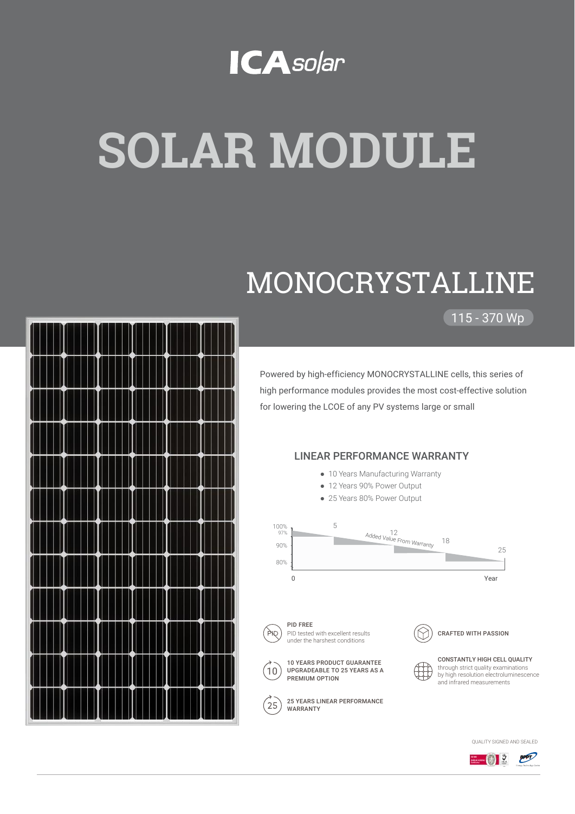### **ICA**solar

# **SOLAR MODULE**

## MONOCRYSTALLINE

115 - 370 Wp

Powered by high-efficiency MONOCRYSTALLINE cells, this series of high performance modules provides the most cost-effective solution



25